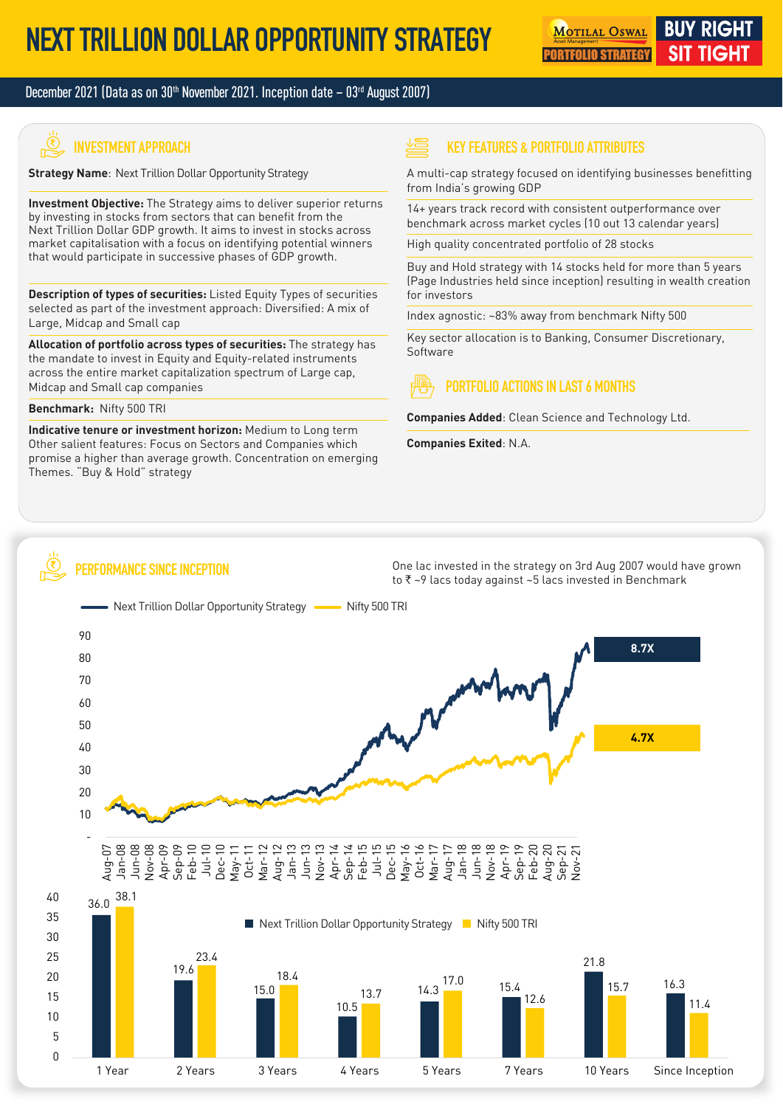#### December 2021 (Data as on  $30<sup>th</sup>$  November 2021. Inception date  $-03<sup>rd</sup>$  August 2007)

# **INVESTMENT APPROACH**

**Strategy Name**: Next Trillion Dollar Opportunity Strategy

**Investment Objective:** The Strategy aims to deliver superior returns by investing in stocks from sectors that can benefit from the Next Trillion Dollar GDP growth. It aims to invest in stocks across market capitalisation with a focus on identifying potential winners that would participate in successive phases of GDP growth.

**Description of types of securities:** Listed Equity Types of securities selected as part of the investment approach: Diversified: A mix of Large, Midcap and Small cap

**Allocation of portfolio across types of securities:** The strategy has the mandate to invest in Equity and Equity-related instruments across the entire market capitalization spectrum of Large cap, Midcap and Small cap companies

#### **Benchmark:** Nifty 500 TRI

 $\bigotimes$ 

**Indicative tenure or investment horizon:** Medium to Long term Other salient features: Focus on Sectors and Companies which promise a higher than average growth. Concentration on emerging Themes. "Buy & Hold" strategy

**PERFORMANCE SINCE INCEPTION**

#### **KEY FEATURES & PORTFOLIO ATTRIBUTES**

A multi-cap strategy focused on identifying businesses benefitting from India's growing GDP

14+ years track record with consistent outperformance over benchmark across market cycles (10 out 13 calendar years)

High quality concentrated portfolio of 28 stocks

Buy and Hold strategy with 14 stocks held for more than 5 years (Page Industries held since inception) resulting in wealth creation for investors

Index agnostic: ~83% away from benchmark Nifty 500

Key sector allocation is to Banking, Consumer Discretionary, Software

## **PORTFOLIO ACTIONS IN LAST 6 MONTHS**

**Companies Added**: Clean Science and Technology Ltd.

**Companies Exited**: N.A.

One lac invested in the strategy on 3rd Aug 2007 would have grown to  $\bar{\tau}$  ~9 lacs today against ~5 lacs invested in Benchmark

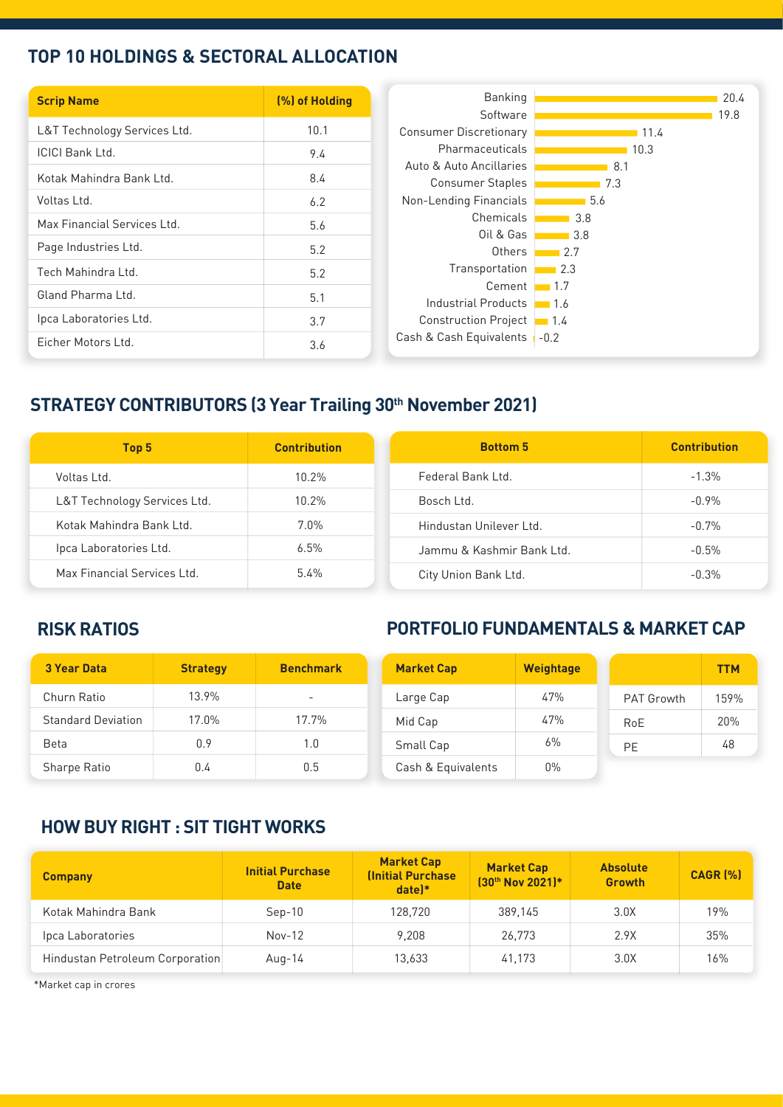### **TOP 10 HOLDINGS & SECTORAL ALLOCATION**

| <b>Scrip Name</b>            | (%) of Holding |
|------------------------------|----------------|
| L&T Technology Services Ltd. | 10.1           |
|                              |                |
| <b>ICICI Bank Ltd.</b>       | 9.4            |
| Kotak Mahindra Bank Ltd.     | 8.4            |
| Voltas Ltd.                  | 6.2            |
| Max Financial Services Ltd.  | 5.6            |
| Page Industries Ltd.         | 5.2            |
| Tech Mahindra Ltd.           |                |
|                              | 5.2            |
| Gland Pharma Ltd.            | 5.1            |
| Ipca Laboratories Ltd.       | 3.7            |
| Ficher Motors Ltd.           | 3.6            |

# **STRATEGY CONTRIBUTORS (3 Year Trailing 30<sup>th</sup> November 2021)**

| Top 5                        | <b>Contribution</b> | <b>Bottom 5</b>           | <b>Contribution</b> |
|------------------------------|---------------------|---------------------------|---------------------|
| Voltas Ltd.                  | $10.2\%$            | Federal Bank Ltd.         | $-1.3\%$            |
| L&T Technology Services Ltd. | $10.2\%$            | Bosch Ltd.                | $-0.9\%$            |
| Kotak Mahindra Bank Ltd.     | $7.0\%$             | Hindustan Unilever Ltd.   | $-0.7%$             |
| Ipca Laboratories Ltd.       | 6.5%                | Jammu & Kashmir Bank Ltd. | $-0.5\%$            |
| Max Financial Services Ltd.  | $5.4\%$             | City Union Bank Ltd.      | $-0.3%$             |

## **RISK RATIOS**

## **PORTFOLIO FUNDAMENTALS & MARKET CAP**

| <b>3 Year Data</b>        | <b>Strategy</b> | <b>Benchmark</b>         | <b>Market Cap</b>  | <b>Weightage</b> |                   | <b>TTM</b> |
|---------------------------|-----------------|--------------------------|--------------------|------------------|-------------------|------------|
| Churn Ratio               | 13.9%           | $\overline{\phantom{0}}$ | Large Cap          | 47%              | <b>PAT Growth</b> | 159%       |
| <b>Standard Deviation</b> | 17.0%           | 17.7%                    | Mid Cap            | 47%              | RoE               | 20%        |
| <b>Beta</b>               | 0.9             | 1.0                      | Small Cap          | 6%               | PE                | 48         |
| Sharpe Ratio              | 0.4             | 0.5                      | Cash & Equivalents | $0\%$            |                   |            |

## **HOW BUY RIGHT : SIT TIGHT WORKS**

| <b>Company</b>                  | <b>Initial Purchase</b><br><b>Date</b> | <b>Market Cap</b><br><b>(Initial Purchase</b><br>$date$ <sup>*</sup> | <b>Market Cap</b><br>[30th Nov 2021]* | <b>Absolute</b><br><b>Growth</b> | <b>CAGR (%)</b> |
|---------------------------------|----------------------------------------|----------------------------------------------------------------------|---------------------------------------|----------------------------------|-----------------|
| Kotak Mahindra Bank             | $Sep-10$                               | 128.720                                                              | 389.145                               | 3.0X                             | 19%             |
| Ipca Laboratories               | $Nov-12$                               | 9.208                                                                | 26.773                                | 2.9X                             | 35%             |
| Hindustan Petroleum Corporation | Aug-14                                 | 13,633                                                               | 41,173                                | 3.0X                             | 16%             |

\*Market cap in crores